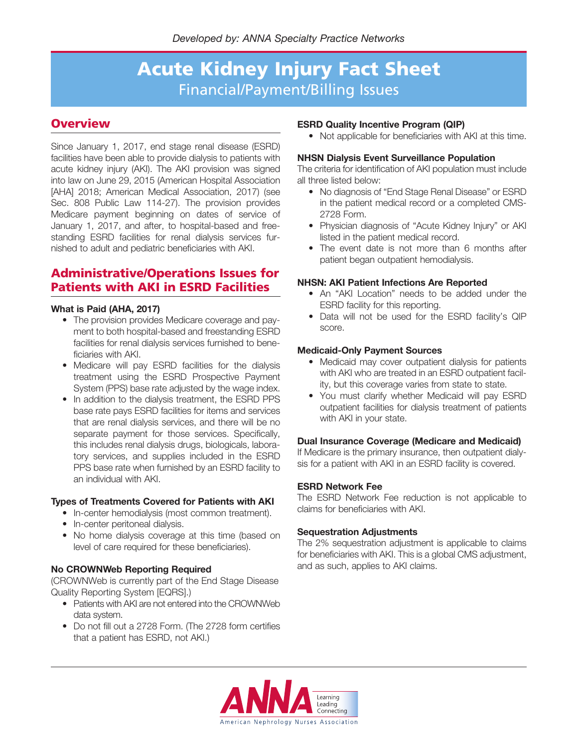# **Overview**

Since January 1, 2017, end stage renal disease (ESRD) facilities have been able to provide dialysis to patients with acute kidney injury (AKI). The AKI provision was signed into law on June 29, 2015 (American Hospital Association [AHA] 2018; American Medical Association, 2017) (see Sec. 808 Public Law 114-27). The provision provides Medicare payment beginning on dates of service of January 1, 2017, and after, to hospital-based and freestanding ESRD facilities for renal dialysis services furnished to adult and pediatric beneficiaries with AKI.

# **Administrative/Operations Issues for Patients with AKI in ESRD Facilities**

### **What is Paid (AHA, 2017)**

- The provision provides Medicare coverage and payment to both hospital-based and freestanding ESRD facilities for renal dialysis services furnished to beneficiaries with AKI.
- Medicare will pay ESRD facilities for the dialysis treatment using the ESRD Prospective Payment System (PPS) base rate adjusted by the wage index.
- In addition to the dialysis treatment, the ESRD PPS base rate pays ESRD facilities for items and services that are renal dialysis services, and there will be no separate payment for those services. Specifically, this includes renal dialysis drugs, biologicals, laboratory services, and supplies included in the ESRD PPS base rate when furnished by an ESRD facility to an individual with AKI.

#### **Types of Treatments Covered for Patients with AKI**

- In-center hemodialysis (most common treatment).
- In-center peritoneal dialysis.
- No home dialysis coverage at this time (based on level of care required for these beneficiaries).

# **No CROWNWeb Reporting Required**

(CROWNWeb is currently part of the End Stage Disease Quality Reporting System [EQRS].)

- Patients with AKI are not entered into the CROWNWeb data system.
- Do not fill out a 2728 Form. (The 2728 form certifies that a patient has ESRD, not AKI.)

#### **ESRD Quality Incentive Program (QIP)**

• Not applicable for beneficiaries with AKI at this time.

#### **NHSN Dialysis Event Surveillance Population**

The criteria for identification of AKI population must include all three listed below:

- No diagnosis of "End Stage Renal Disease" or ESRD in the patient medical record or a completed CMS-2728 Form.
- Physician diagnosis of "Acute Kidney Injury" or AKI listed in the patient medical record.
- The event date is not more than 6 months after patient began outpatient hemodialysis.

#### **NHSN: AKI Patient Infections Are Reported**

- An "AKI Location" needs to be added under the ESRD facility for this reporting.
- Data will not be used for the ESRD facility's QIP score.

#### **Medicaid-Only Payment Sources**

- Medicaid may cover outpatient dialysis for patients with AKI who are treated in an ESRD outpatient facility, but this coverage varies from state to state.
- You must clarify whether Medicaid will pay ESRD outpatient facilities for dialysis treatment of patients with AKI in your state.

#### **Dual Insurance Coverage (Medicare and Medicaid)**

If Medicare is the primary insurance, then outpatient dialysis for a patient with AKI in an ESRD facility is covered.

#### **ESRD Network Fee**

The ESRD Network Fee reduction is not applicable to claims for beneficiaries with AKI.

#### **Sequestration Adjustments**

The 2% sequestration adjustment is applicable to claims for beneficiaries with AKI. This is a global CMS adjustment, and as such, applies to AKI claims.

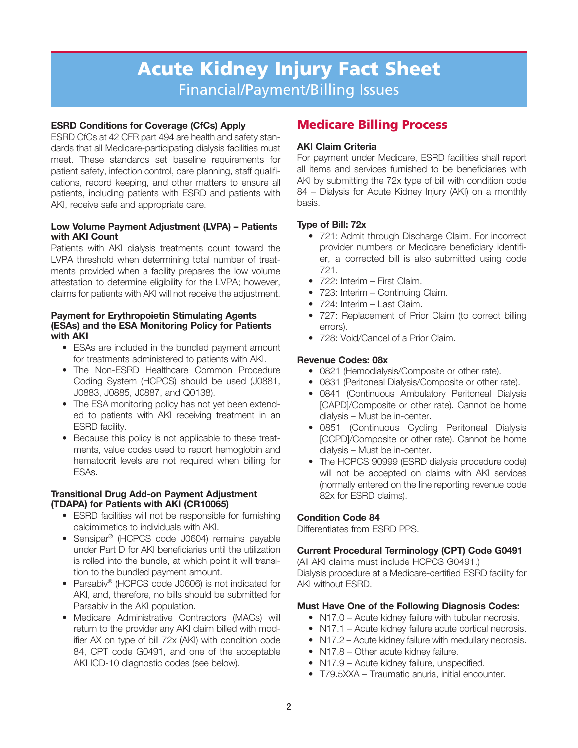# **ESRD Conditions for Coverage (CfCs) Apply**

ESRD CfCs at 42 CFR part 494 are health and safety standards that all Medicare-participating dialysis facilities must meet. These standards set baseline requirements for patient safety, infection control, care planning, staff qualifications, record keeping, and other matters to ensure all patients, including patients with ESRD and patients with AKI, receive safe and appropriate care.

#### **Low Volume Payment Adjustment (LVPA) – Patients with AKI Count**

Patients with AKI dialysis treatments count toward the LVPA threshold when determining total number of treatments provided when a facility prepares the low volume attestation to determine eligibility for the LVPA; however, claims for patients with AKI will not receive the adjustment.

### **Payment for Erythropoietin Stimulating Agents (ESAs) and the ESA Monitoring Policy for Patients with AKI**

- ESAs are included in the bundled payment amount for treatments administered to patients with AKI.
- The Non-ESRD Healthcare Common Procedure Coding System (HCPCS) should be used (J0881, J0883, J0885, J0887, and Q0138).
- The ESA monitoring policy has not yet been extended to patients with AKI receiving treatment in an ESRD facility.
- Because this policy is not applicable to these treatments, value codes used to report hemoglobin and hematocrit levels are not required when billing for ESAs.

### **Transitional Drug Add-on Payment Adjustment (TDAPA) for Patients with AKI (CR10065)**

- ESRD facilities will not be responsible for furnishing calcimimetics to individuals with AKI.
- Sensipar<sup>®</sup> (HCPCS code J0604) remains payable under Part D for AKI beneficiaries until the utilization is rolled into the bundle, at which point it will transition to the bundled payment amount.
- Parsabiv® (HCPCS code J0606) is not indicated for AKI, and, therefore, no bills should be submitted for Parsabiv in the AKI population.
- Medicare Administrative Contractors (MACs) will return to the provider any AKI claim billed with modifier AX on type of bill 72x (AKI) with condition code 84, CPT code G0491, and one of the acceptable AKI ICD-10 diagnostic codes (see below).

# **Medicare Billing Process**

# **AKI Claim Criteria**

For payment under Medicare, ESRD facilities shall report all items and services furnished to be beneficiaries with AKI by submitting the 72x type of bill with condition code 84 – Dialysis for Acute Kidney Injury (AKI) on a monthly basis.

# **Type of Bill: 72x**

- 721: Admit through Discharge Claim. For incorrect provider numbers or Medicare beneficiary identifier, a corrected bill is also submitted using code 721.
- 722: Interim First Claim.
- 723: Interim Continuing Claim.
- 724: Interim Last Claim.
- 727: Replacement of Prior Claim (to correct billing errors).
- 728: Void/Cancel of a Prior Claim.

# **Revenue Codes: 08x**

- 0821 (Hemodialysis/Composite or other rate).
- 0831 (Peritoneal Dialysis/Composite or other rate).
- 0841 (Continuous Ambulatory Peritoneal Dialysis [CAPD]/Composite or other rate). Cannot be home dialysis – Must be in-center.
- 0851 (Continuous Cycling Peritoneal Dialysis [CCPD]/Composite or other rate). Cannot be home dialysis – Must be in-center.
- The HCPCS 90999 (ESRD dialysis procedure code) will not be accepted on claims with AKI services (normally entered on the line reporting revenue code 82x for ESRD claims).

# **Condition Code 84**

Differentiates from ESRD PPS.

# **Current Procedural Terminology (CPT) Code G0491**

(All AKI claims must include HCPCS G0491.) Dialysis procedure at a Medicare-certified ESRD facility for AKI without ESRD.

# **Must Have One of the Following Diagnosis Codes:**

- N17.0 Acute kidney failure with tubular necrosis.
- N17.1 Acute kidney failure acute cortical necrosis.
- N17.2 Acute kidney failure with medullary necrosis.
- N17.8 Other acute kidney failure.
- N17.9 Acute kidney failure, unspecified.
- T79.5XXA Traumatic anuria, initial encounter.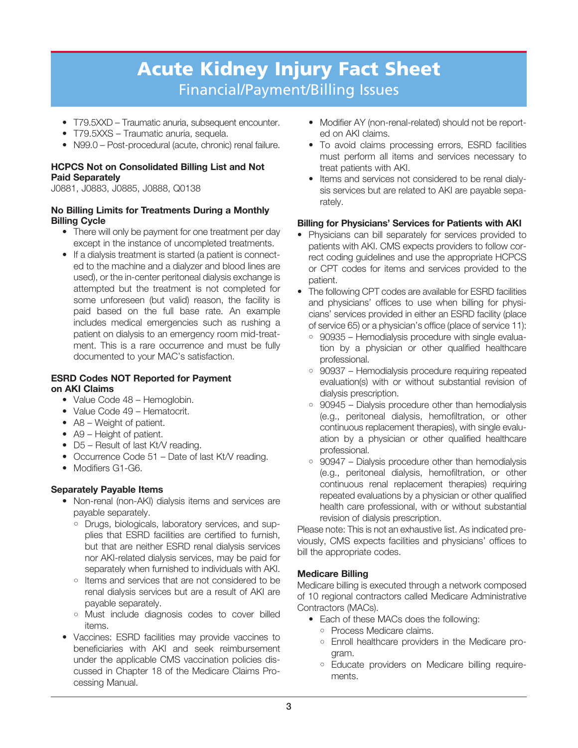- T79.5XXD Traumatic anuria, subsequent encounter.
- T79.5XXS Traumatic anuria, sequela.
- N99.0 Post-procedural (acute, chronic) renal failure.

### **HCPCS Not on Consolidated Billing List and Not Paid Separately**

J0881, J0883, J0885, J0888, Q0138

### **No Billing Limits for Treatments During a Monthly Billing Cycle**

- There will only be payment for one treatment per day except in the instance of uncompleted treatments.
- If a dialysis treatment is started (a patient is connected to the machine and a dialyzer and blood lines are used), or the in-center peritoneal dialysis exchange is attempted but the treatment is not completed for some unforeseen (but valid) reason, the facility is paid based on the full base rate. An example includes medical emergencies such as rushing a patient on dialysis to an emergency room mid-treatment. This is a rare occurrence and must be fully documented to your MAC's satisfaction.

### **ESRD Codes NOT Reported for Payment on AKI Claims**

- Value Code 48 Hemoglobin.
- Value Code 49 Hematocrit.
- A8 Weight of patient.
- A9 Height of patient.
- D5 Result of last Kt/V reading.
- Occurrence Code 51 Date of last Kt/V reading.
- Modifiers G1-G6.

# **Separately Payable Items**

- Non-renal (non-AKI) dialysis items and services are payable separately.
	- Drugs, biologicals, laboratory services, and supplies that ESRD facilities are certified to furnish, but that are neither ESRD renal dialysis services nor AKI-related dialysis services, may be paid for separately when furnished to individuals with AKI.
	- Items and services that are not considered to be renal dialysis services but are a result of AKI are payable separately.
	- Must include diagnosis codes to cover billed items.
- Vaccines: ESRD facilities may provide vaccines to beneficiaries with AKI and seek reimbursement under the applicable CMS vaccination policies discussed in Chapter 18 of the Medicare Claims Processing Manual.
- Modifier AY (non-renal-related) should not be reported on AKI claims.
- To avoid claims processing errors, ESRD facilities must perform all items and services necessary to treat patients with AKI.
- Items and services not considered to be renal dialysis services but are related to AKI are payable separately.

### **Billing for Physicians' Services for Patients with AKI**

- Physicians can bill separately for services provided to patients with AKI. CMS expects providers to follow correct coding guidelines and use the appropriate HCPCS or CPT codes for items and services provided to the patient.
- The following CPT codes are available for ESRD facilities and physicians' offices to use when billing for physicians' services provided in either an ESRD facility (place of service 65) or a physician's office (place of service 11):
	- 90935 Hemodialysis procedure with single evaluation by a physician or other qualified healthcare professional.
	- 90937 Hemodialysis procedure requiring repeated evaluation(s) with or without substantial revision of dialysis prescription.
	- 90945 Dialysis procedure other than hemodialysis (e.g., peritoneal dialysis, hemofiltration, or other continuous replacement therapies), with single evaluation by a physician or other qualified healthcare professional.
	- $\circ$  90947 Dialysis procedure other than hemodialysis (e.g., peritoneal dialysis, hemofiltration, or other continuous renal replacement therapies) requiring repeated evaluations by a physician or other qualified health care professional, with or without substantial revision of dialysis prescription.

Please note: This is not an exhaustive list. As indicated previously, CMS expects facilities and physicians' offices to bill the appropriate codes.

# **Medicare Billing**

Medicare billing is executed through a network composed of 10 regional contractors called Medicare Administrative Contractors (MACs).

- Each of these MACs does the following:
	- Process Medicare claims.
	- Enroll healthcare providers in the Medicare program.
	- Educate providers on Medicare billing requirements.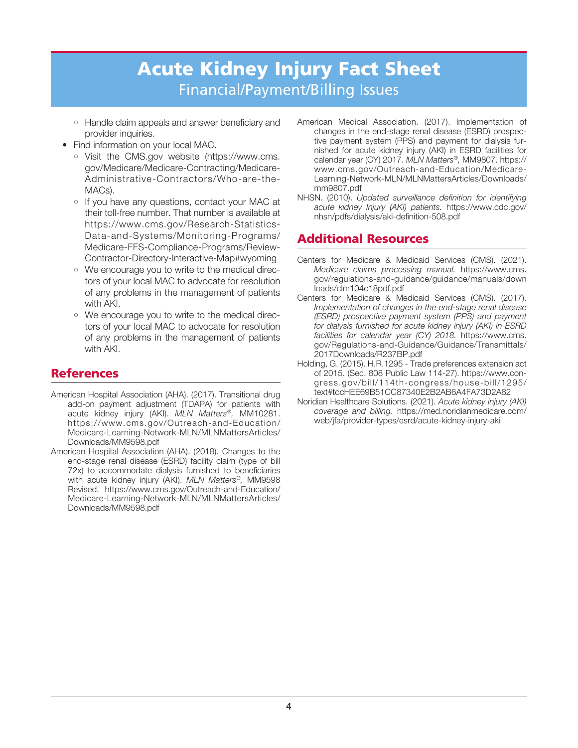- Handle claim appeals and answer beneficiary and provider inquiries.
- Find information on your local MAC.
	- Visit the CMS.gov website (https://www.cms. gov/Medicare/Medicare-Contracting/Medicare-Administrative-Contractors/Who-are-the-MACs).
	- If you have any questions, contact your MAC at their toll-free number. That number is available at https://www.cms.gov/Research-Statistics-Data-and-Systems/Monitoring-Programs/ Medicare-FFS-Compliance-Programs/Review-Contractor-Directory-Interactive-Map#wyoming
	- We encourage you to write to the medical directors of your local MAC to advocate for resolution of any problems in the management of patients with AKI.
	- We encourage you to write to the medical directors of your local MAC to advocate for resolution of any problems in the management of patients with AKI.

# **References**

- American Hospital Association (AHA). (2017). Transitional drug add-on payment adjustment (TDAPA) for patients with acute kidney injury (AKI). MLN Matters®, MM10281. https://www.cms.gov/Outreach-and-Education/ Medicare-Learning-Network-MLN/MLNMattersArticles/ Downloads/MM9598.pdf
- American Hospital Association (AHA). (2018). Changes to the end-stage renal disease (ESRD) facility claim (type of bill 72x) to accommodate dialysis furnished to beneficiaries with acute kidney injury (AKI). MLN Matters®, MM9598 Revised. https://www.cms.gov/Outreach-and-Education/ Medicare-Learning-Network-MLN/MLNMattersArticles/ Downloads/MM9598.pdf
- American Medical Association. (2017). Implementation of changes in the end-stage renal disease (ESRD) prospective payment system (PPS) and payment for dialysis furnished for acute kidney injury (AKI) in ESRD facilities for calendar year (CY) 2017. MLN Matters®, MM9807. https:// www.cms.gov/Outreach-and-Education/Medicare-Learning-Network-MLN/MLNMattersArticles/Downloads/ mm9807.pdf
- NHSN. (2010). Updated surveillance definition for identifying acute kidney Injury (AKI) patients. https://www.cdc.gov/ nhsn/pdfs/dialysis/aki-definition-508.pdf

# **Additional Resources**

- Centers for Medicare & Medicaid Services (CMS). (2021). Medicare claims processing manual. https://www.cms. gov/regulations-and-guidance/guidance/manuals/down loads/clm104c18pdf.pdf
- Centers for Medicare & Medicaid Services (CMS). (2017). Implementation of changes in the end-stage renal disease (ESRD) prospective payment system (PPS) and payment for dialysis furnished for acute kidney injury (AKI) in ESRD facilities for calendar year (CY) 2018. https://www.cms. gov/Regulations-and-Guidance/Guidance/Transmittals/ 2017Downloads/R237BP.pdf
- Holding, G. (2015). H.R.1295 Trade preferences extension act of 2015. (Sec. 808 Public Law 114-27). https://www.congress.gov/bill/114th-congress/house-bill/1295/ text#tocHEE69B51CC87340E2B2AB6A4FA73D2A82
- Noridian Healthcare Solutions. (2021). Acute kidney injury (AKI) coverage and billing. https://med.noridianmedicare.com/ web/jfa/provider-types/esrd/acute-kidney-injury-aki